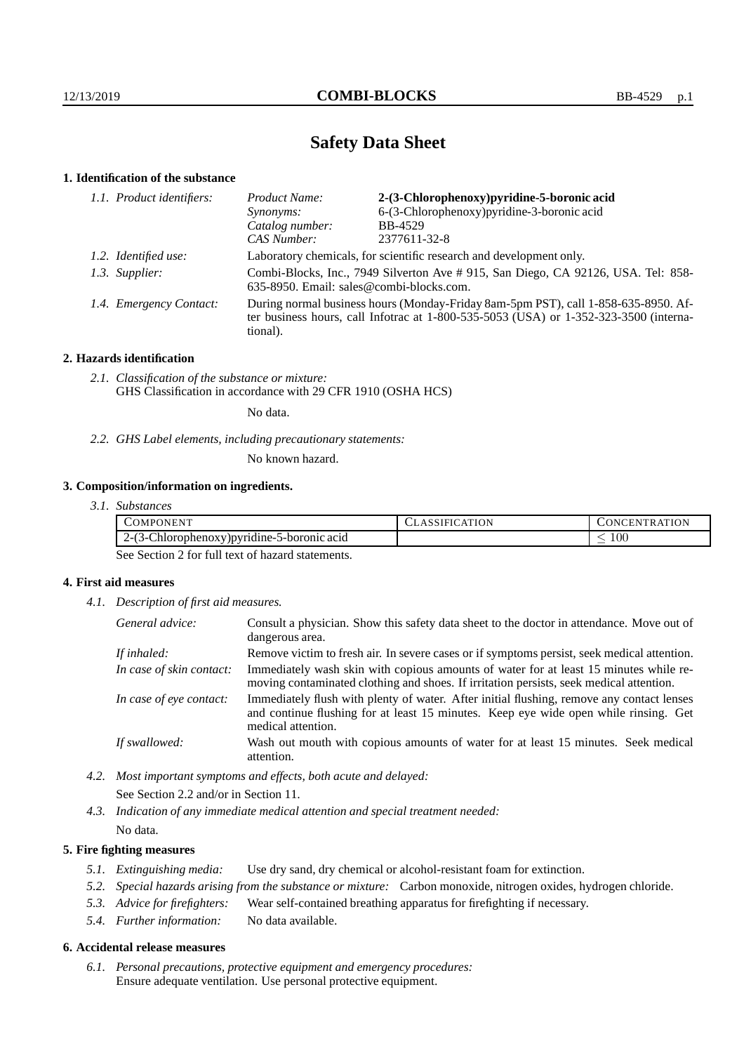# **Safety Data Sheet**

## **1. Identification of the substance**

| 1.1. Product identifiers: | Product Name:                                                                                                                                                                               | 2-(3-Chlorophenoxy)pyridine-5-boronic acid  |  |
|---------------------------|---------------------------------------------------------------------------------------------------------------------------------------------------------------------------------------------|---------------------------------------------|--|
|                           | Synonyms:                                                                                                                                                                                   | 6-(3-Chlorophenoxy) pyridine-3-boronic acid |  |
|                           | Catalog number:                                                                                                                                                                             | BB-4529                                     |  |
|                           | CAS Number:                                                                                                                                                                                 | 2377611-32-8                                |  |
| 1.2. Identified use:      | Laboratory chemicals, for scientific research and development only.                                                                                                                         |                                             |  |
| 1.3. Supplier:            | Combi-Blocks, Inc., 7949 Silverton Ave # 915, San Diego, CA 92126, USA. Tel: 858-<br>635-8950. Email: sales@combi-blocks.com.                                                               |                                             |  |
| 1.4. Emergency Contact:   | During normal business hours (Monday-Friday 8am-5pm PST), call 1-858-635-8950. Af-<br>ter business hours, call Infotrac at $1-800-535-5053$ (USA) or $1-352-323-3500$ (interna-<br>tional). |                                             |  |

## **2. Hazards identification**

*2.1. Classification of the substance or mixture:* GHS Classification in accordance with 29 CFR 1910 (OSHA HCS)

No data.

*2.2. GHS Label elements, including precautionary statements:*

No known hazard.

## **3. Composition/information on ingredients.**

| 3.1. Substances |
|-----------------|
|                 |

| OMPONEN                                                               | ١N | ĸ.<br>N<br><b>INI</b><br>н. |
|-----------------------------------------------------------------------|----|-----------------------------|
| 5-boronic acid<br>/)pvridine-:<br>Chlorophenox<br>$\cdot$<br>י-י<br>. |    | $100\,$                     |

See Section 2 for full text of hazard statements.

## **4. First aid measures**

*4.1. Description of first aid measures.*

| General advice:          | Consult a physician. Show this safety data sheet to the doctor in attendance. Move out of<br>dangerous area.                                                                                            |
|--------------------------|---------------------------------------------------------------------------------------------------------------------------------------------------------------------------------------------------------|
| If inhaled:              | Remove victim to fresh air. In severe cases or if symptoms persist, seek medical attention.                                                                                                             |
| In case of skin contact: | Immediately wash skin with copious amounts of water for at least 15 minutes while re-<br>moving contaminated clothing and shoes. If irritation persists, seek medical attention.                        |
| In case of eye contact:  | Immediately flush with plenty of water. After initial flushing, remove any contact lenses<br>and continue flushing for at least 15 minutes. Keep eye wide open while rinsing. Get<br>medical attention. |
| If swallowed:            | Wash out mouth with copious amounts of water for at least 15 minutes. Seek medical<br>attention.                                                                                                        |

*4.2. Most important symptoms and effects, both acute and delayed:* See Section 2.2 and/or in Section 11.

*4.3. Indication of any immediate medical attention and special treatment needed:* No data.

### **5. Fire fighting measures**

- *5.1. Extinguishing media:* Use dry sand, dry chemical or alcohol-resistant foam for extinction.
- *5.2. Special hazards arising from the substance or mixture:* Carbon monoxide, nitrogen oxides, hydrogen chloride.
- *5.3. Advice for firefighters:* Wear self-contained breathing apparatus for firefighting if necessary.
- *5.4. Further information:* No data available.

#### **6. Accidental release measures**

*6.1. Personal precautions, protective equipment and emergency procedures:* Ensure adequate ventilation. Use personal protective equipment.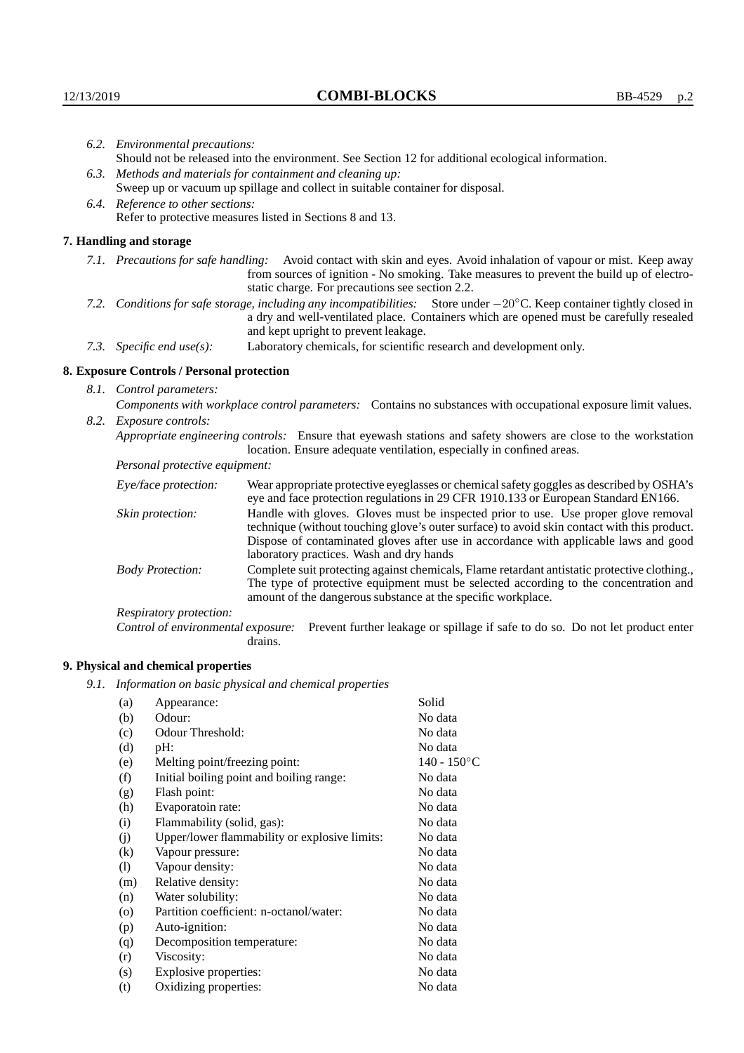|      | 6.2. Environmental precautions:                                                                                                                                                                                                                                     |                                                                                                                                                                                    |  |  |  |
|------|---------------------------------------------------------------------------------------------------------------------------------------------------------------------------------------------------------------------------------------------------------------------|------------------------------------------------------------------------------------------------------------------------------------------------------------------------------------|--|--|--|
|      | Should not be released into the environment. See Section 12 for additional ecological information.                                                                                                                                                                  |                                                                                                                                                                                    |  |  |  |
|      |                                                                                                                                                                                                                                                                     | 6.3. Methods and materials for containment and cleaning up:                                                                                                                        |  |  |  |
|      | Sweep up or vacuum up spillage and collect in suitable container for disposal.                                                                                                                                                                                      |                                                                                                                                                                                    |  |  |  |
|      | 6.4. Reference to other sections:                                                                                                                                                                                                                                   |                                                                                                                                                                                    |  |  |  |
|      |                                                                                                                                                                                                                                                                     | Refer to protective measures listed in Sections 8 and 13.                                                                                                                          |  |  |  |
|      | 7. Handling and storage                                                                                                                                                                                                                                             |                                                                                                                                                                                    |  |  |  |
|      | 7.1. Precautions for safe handling: Avoid contact with skin and eyes. Avoid inhalation of vapour or mist. Keep away<br>from sources of ignition - No smoking. Take measures to prevent the build up of electro-<br>static charge. For precautions see section 2.2.  |                                                                                                                                                                                    |  |  |  |
|      | 7.2. Conditions for safe storage, including any incompatibilities: Store under $-20^{\circ}$ C. Keep container tightly closed in<br>a dry and well-ventilated place. Containers which are opened must be carefully resealed<br>and kept upright to prevent leakage. |                                                                                                                                                                                    |  |  |  |
|      | Laboratory chemicals, for scientific research and development only.<br>7.3. Specific end use(s):                                                                                                                                                                    |                                                                                                                                                                                    |  |  |  |
|      | 8. Exposure Controls / Personal protection                                                                                                                                                                                                                          |                                                                                                                                                                                    |  |  |  |
|      | 8.1. Control parameters:                                                                                                                                                                                                                                            |                                                                                                                                                                                    |  |  |  |
|      | Components with workplace control parameters: Contains no substances with occupational exposure limit values.                                                                                                                                                       |                                                                                                                                                                                    |  |  |  |
| 8.2. | Exposure controls:                                                                                                                                                                                                                                                  |                                                                                                                                                                                    |  |  |  |
|      | Appropriate engineering controls: Ensure that eyewash stations and safety showers are close to the workstation<br>location. Ensure adequate ventilation, especially in confined areas.                                                                              |                                                                                                                                                                                    |  |  |  |
|      | Personal protective equipment:                                                                                                                                                                                                                                      |                                                                                                                                                                                    |  |  |  |
|      | Eye/face protection:                                                                                                                                                                                                                                                | Wear appropriate protective eyeglasses or chemical safety goggles as described by OSHA's<br>eye and face protection regulations in 29 CFR 1910.133 or European Standard EN166.     |  |  |  |
|      | Skin protection:                                                                                                                                                                                                                                                    | Handle with gloves. Gloves must be inspected prior to use. Use proper glove removal<br>technique (without touching glove's outer surface) to avoid skin contact with this product. |  |  |  |

Dispose of contaminated gloves after use in accordance with applicable laws and good laboratory practices. Wash and dry hands Body Protection: Complete suit protecting against chemicals, Flame retardant antistatic protective clothing., The type of protective equipment must be selected according to the concentration and

amount of the dangerous substance at the specific workplace.

Respiratory protection:

Control of environmental exposure: Prevent further leakage or spillage if safe to do so. Do not let product enter drains.

## **9. Physical and chemical properties**

*9.1. Information on basic physical and chemical properties*

| (a)      | Appearance:                                   | Solid          |
|----------|-----------------------------------------------|----------------|
| (b)      | Odour:                                        | No data        |
| (c)      | Odour Threshold:                              | No data        |
| (d)      | $pH$ :                                        | No data        |
| (e)      | Melting point/freezing point:                 | $140 - 150$ °C |
| (f)      | Initial boiling point and boiling range:      | No data        |
| (g)      | Flash point:                                  | No data        |
| (h)      | Evaporatoin rate:                             | No data        |
| (i)      | Flammability (solid, gas):                    | No data        |
| (j)      | Upper/lower flammability or explosive limits: | No data        |
| $\rm(k)$ | Vapour pressure:                              | No data        |
| (1)      | Vapour density:                               | No data        |
| (m)      | Relative density:                             | No data        |
| (n)      | Water solubility:                             | No data        |
| $\circ$  | Partition coefficient: n-octanol/water:       | No data        |
| (p)      | Auto-ignition:                                | No data        |
| (q)      | Decomposition temperature:                    | No data        |
| (r)      | Viscosity:                                    | No data        |
| (s)      | Explosive properties:                         | No data        |
| (t)      | Oxidizing properties:                         | No data        |
|          |                                               |                |